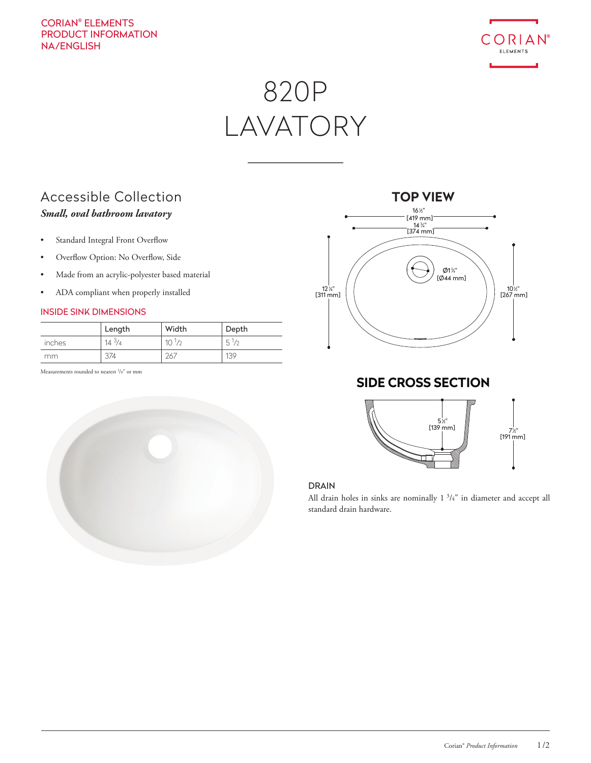### CORIAN® ELEMENTS PRODUCT INFORMATION NA/ENGLISH



# 820P LAVATORY

### Accessible Collection *Small, oval bathroom lavatory*

- Standard Integral Front Overflow
- Overflow Option: No Overflow, Side
- Made from an acrylic-polyester based material
- ADA compliant when properly installed

### INSIDE SINK DIMENSIONS

|        | Length     | Width      | Depth          |
|--------|------------|------------|----------------|
| inches | $14^{3}/4$ | $10^{1/2}$ | $5\frac{1}{2}$ |
| mm.    | 374        | 267        | 139            |

Measurements rounded to nearest <sup>1</sup>/8" or mm





### **SIDE CROSS SECTION**



### DRAIN

All drain holes in sinks are nominally 1<sup>3</sup>/<sub>4</sub>" in diameter and accept all standard drain hardware.